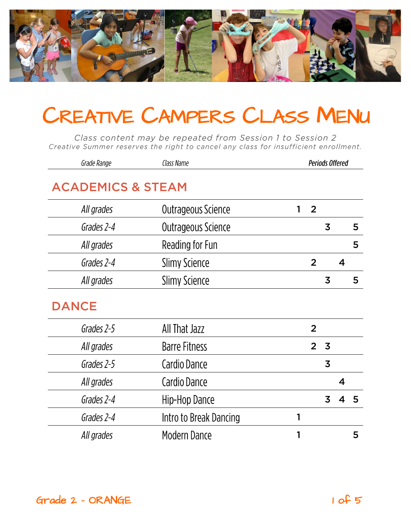

Class content may be repeated from Session 1 to Session 2 Creative Summer reserves the right to cancel any class for insufficient enrollment.

| Grade Range                  | Class Name             | <b>Periods Offered</b> |                         |                         |   |
|------------------------------|------------------------|------------------------|-------------------------|-------------------------|---|
| <b>ACADEMICS &amp; STEAM</b> |                        |                        |                         |                         |   |
| All grades                   | Outrageous Science     | $\overline{2}$<br>1    |                         |                         |   |
| Grades 2-4                   | Outrageous Science     |                        | $\overline{3}$          |                         | 5 |
| All grades                   | Reading for Fun        |                        |                         |                         | 5 |
| Grades 2-4                   | <b>Slimy Science</b>   | $\overline{2}$         |                         | $\overline{\mathbf{4}}$ |   |
| All grades                   | <b>Slimy Science</b>   |                        | $\overline{3}$          |                         | 5 |
| <b>DANCE</b>                 |                        |                        |                         |                         |   |
| Grades 2-5                   | All That Jazz          | $\overline{2}$         |                         |                         |   |
| All grades                   | <b>Barre Fitness</b>   | $\overline{2}$         | $\overline{\mathbf{3}}$ |                         |   |
| Grades 2-5                   | Cardio Dance           |                        | 3                       |                         |   |
| All grades                   | Cardio Dance           |                        |                         | $\overline{\mathbf{4}}$ |   |
| Grades 2-4                   | Hip-Hop Dance          |                        | 3                       | 4                       | 5 |
| Grades 2-4                   | Intro to Break Dancing | 1                      |                         |                         |   |
| All grades                   | Modern Dance           | 1                      |                         |                         | 5 |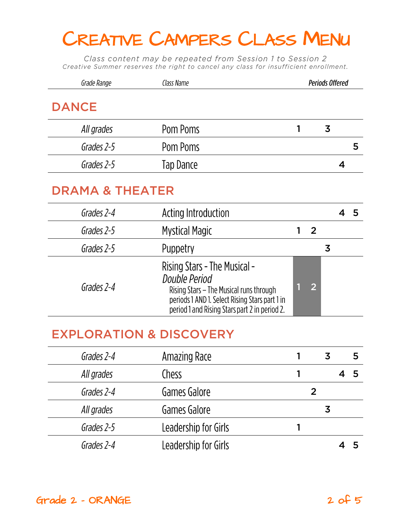Class content may be repeated from Session 1 to Session 2 Creative Summer reserves the right to cancel any class for insufficient enrollment.

| Grade Range                        | Class Name                                                                                                                                                                                  | <b>Periods Offered</b> |                |                |   |   |
|------------------------------------|---------------------------------------------------------------------------------------------------------------------------------------------------------------------------------------------|------------------------|----------------|----------------|---|---|
| <b>DANCE</b>                       |                                                                                                                                                                                             |                        |                |                |   |   |
| All grades                         | Pom Poms                                                                                                                                                                                    | 1                      |                | $\overline{3}$ |   |   |
| Grades 2-5                         | Pom Poms                                                                                                                                                                                    |                        |                |                |   | 5 |
| Grades 2-5                         | Tap Dance                                                                                                                                                                                   |                        |                |                | 4 |   |
| <b>DRAMA &amp; THEATER</b>         |                                                                                                                                                                                             |                        |                |                |   |   |
| Grades 2-4                         | Acting Introduction                                                                                                                                                                         |                        |                |                | 4 | 5 |
| Grades 2-5                         | Mystical Magic                                                                                                                                                                              |                        | $\overline{2}$ |                |   |   |
| Grades 2-5                         | Puppetry                                                                                                                                                                                    |                        |                | $\overline{3}$ |   |   |
| Grades 2-4                         | Rising Stars - The Musical -<br>Double Period<br>Rising Stars - The Musical runs through<br>periods 1 AND 1. Select Rising Stars part 1 in<br>period 1 and Rising Stars part 2 in period 2. |                        | $\overline{2}$ |                |   |   |
| <b>EXPLORATION &amp; DISCOVERY</b> |                                                                                                                                                                                             |                        |                |                |   |   |
| Grades 2-4                         | Amazing Race                                                                                                                                                                                | 1                      |                | 3              |   | 5 |
| All grades                         | Chess                                                                                                                                                                                       | 1                      |                |                | 4 | 5 |
| Grades 2-4                         | Games Galore                                                                                                                                                                                |                        | $\overline{2}$ |                |   |   |
| All grades                         | Games Galore                                                                                                                                                                                |                        |                | $\overline{3}$ |   |   |
| Grades 2-5                         | Leadership for Girls                                                                                                                                                                        | 1                      |                |                |   |   |
| Grades 2-4                         | Leadership for Girls                                                                                                                                                                        |                        |                |                | 4 | 5 |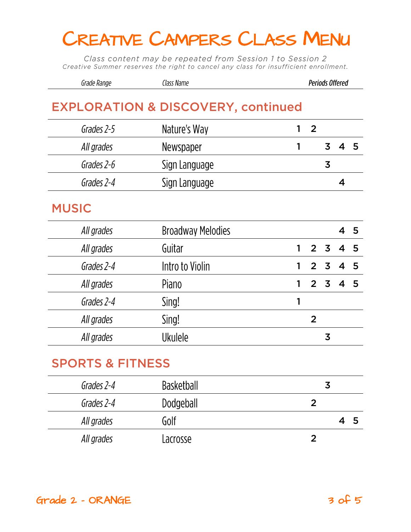Class content may be repeated from Session 1 to Session 2 Creative Summer reserves the right to cancel any class for insufficient enrollment.

| Grade Range | Class Name | Periods Offered |
|-------------|------------|-----------------|
|-------------|------------|-----------------|

### **EXPLORATION & DISCOVERY, continued**

| Grades 2-5   | Nature's Way  | 2 |   |  |
|--------------|---------------|---|---|--|
| All grades   | Newspaper     |   |   |  |
| Grades 2-6   | Sign Language |   | 3 |  |
| Grades 2-4   | Sign Language |   |   |  |
| <b>MUSIC</b> |               |   |   |  |

| All grades | <b>Broadway Melodies</b> |   |         |   | 45 |
|------------|--------------------------|---|---------|---|----|
| All grades | Guitar                   |   | 2 3 4 5 |   |    |
| Grades 2-4 | Intro to Violin          | 1 | 2 3 4 5 |   |    |
| All grades | Piano                    |   | 2 3 4 5 |   |    |
| Grades 2-4 | Sing!                    |   |         |   |    |
| All grades | Sing!                    |   | 2       |   |    |
| All grades | <b>Ukulele</b>           |   |         | 3 |    |
|            |                          |   |         |   |    |

| Grades 2-4 | <b>Basketball</b> | 3  |
|------------|-------------------|----|
| Grades 2-4 | Dodgeball         |    |
| All grades | Golf              | ್ರ |
| All grades | Lacrosse          |    |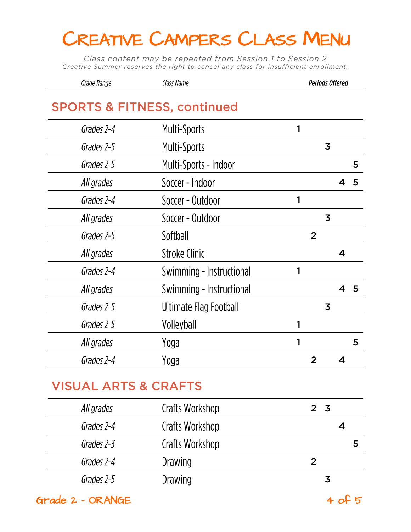Class content may be repeated from Session 1 to Session 2 Creative Summer reserves the right to cancel any class for insufficient enrollment.

| Grade Range | Llass Name | <b>Periods Offered</b> |
|-------------|------------|------------------------|
|             |            |                        |

#### **SPORTS & FITNESS, continued**

| Grades 2-4 | <b>Multi-Sports</b>      |   |                |                |                         |   |
|------------|--------------------------|---|----------------|----------------|-------------------------|---|
| Grades 2-5 | <b>Multi-Sports</b>      |   |                | 3              |                         |   |
| Grades 2-5 | Multi-Sports - Indoor    |   |                |                |                         | 5 |
| All grades | Soccer - Indoor          |   |                |                |                         | 5 |
| Grades 2-4 | Soccer - Outdoor         | 1 |                |                |                         |   |
| All grades | Soccer - Outdoor         |   |                | $\overline{3}$ |                         |   |
| Grades 2-5 | Softball                 |   | $\overline{2}$ |                |                         |   |
| All grades | <b>Stroke Clinic</b>     |   |                |                | 4                       |   |
| Grades 2-4 | Swimming - Instructional |   |                |                |                         |   |
| All grades | Swimming - Instructional |   |                |                | $\overline{\mathbf{4}}$ | 5 |
| Grades 2-5 | Ultimate Flag Football   |   |                | 3              |                         |   |
| Grades 2-5 | Volleyball               |   |                |                |                         |   |
| All grades | Yoga                     |   |                |                |                         | 5 |
| Grades 2-4 | Yoga                     |   | $\mathbf{2}$   |                | 4                       |   |
|            |                          |   |                |                |                         |   |

| All grades | Crafts Workshop | 2 <sub>5</sub> |
|------------|-----------------|----------------|
| Grades 2-4 | Crafts Workshop |                |
| Grades 2-3 | Crafts Workshop |                |
| Grades 2-4 | <b>Drawing</b>  |                |
| Grades 2-5 | Drawing         | 3              |

 $Grade$  2 - ORANGE  $40f$  5